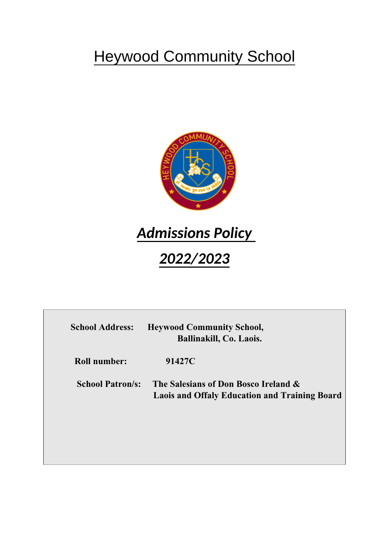# **Heywood Community School**



# *Admissions Policy*

# *2022/2023*

| <b>School Address:</b>  | <b>Heywood Community School,</b><br>Ballinakill, Co. Laois.                                  |
|-------------------------|----------------------------------------------------------------------------------------------|
| <b>Roll number:</b>     | 91427C                                                                                       |
| <b>School Patron/s:</b> | The Salesians of Don Bosco Ireland &<br><b>Laois and Offaly Education and Training Board</b> |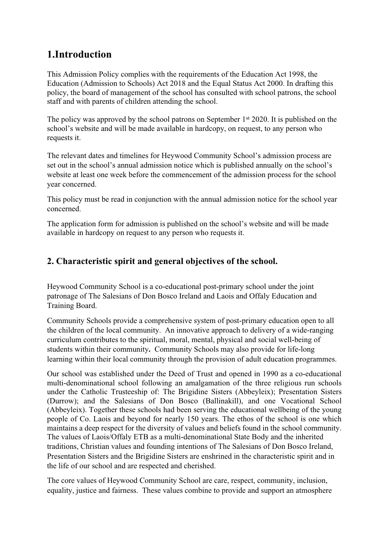# **1.Introduction**

This Admission Policy complies with the requirements of the Education Act 1998, the Education (Admission to Schools) Act 2018 and the Equal Status Act 2000. In drafting this policy, the board of management of the school has consulted with school patrons, the school staff and with parents of children attending the school.

The policy was approved by the school patrons on September 1<sup>st</sup> 2020. It is published on the school's website and will be made available in hardcopy, on request, to any person who requests it.

The relevant dates and timelines for Heywood Community School's admission process are set out in the school's annual admission notice which is published annually on the school's website at least one week before the commencement of the admission process for the school year concerned.

This policy must be read in conjunction with the annual admission notice for the school year concerned.

The application form for admission is published on the school's website and will be made available in hardcopy on request to any person who requests it.

# **2. Characteristic spirit and general objectives of the school.**

Heywood Community School is a co-educational post-primary school under the joint patronage of The Salesians of Don Bosco Ireland and Laois and Offaly Education and Training Board.

Community Schools provide a comprehensive system of post-primary education open to all the children of the local community. An innovative approach to delivery of a wide-ranging curriculum contributes to the spiritual, moral, mental, physical and social well-being of students within their community**.** Community Schools may also provide for life-long learning within their local community through the provision of adult education programmes.

Our school was established under the Deed of Trust and opened in 1990 as a co-educational multi-denominational school following an amalgamation of the three religious run schools under the Catholic Trusteeship of: The Brigidine Sisters (Abbeyleix); Presentation Sisters (Durrow); and the Salesians of Don Bosco (Ballinakill), and one Vocational School (Abbeyleix). Together these schools had been serving the educational wellbeing of the young people of Co. Laois and beyond for nearly 150 years. The ethos of the school is one which maintains a deep respect for the diversity of values and beliefs found in the school community. The values of Laois/Offaly ETB as a multi-denominational State Body and the inherited traditions, Christian values and founding intentions of The Salesians of Don Bosco Ireland, Presentation Sisters and the Brigidine Sisters are enshrined in the characteristic spirit and in the life of our school and are respected and cherished.

The core values of Heywood Community School are care, respect, community, inclusion, equality, justice and fairness. These values combine to provide and support an atmosphere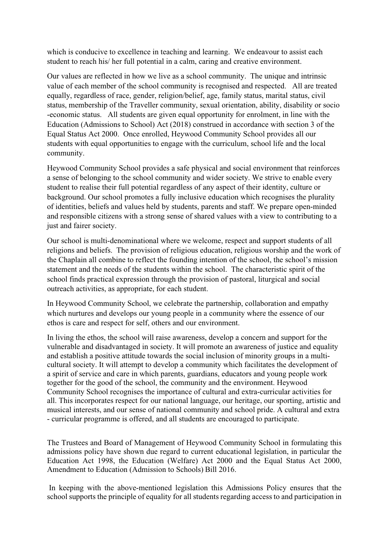which is conducive to excellence in teaching and learning. We endeavour to assist each student to reach his/ her full potential in a calm, caring and creative environment.

Our values are reflected in how we live as a school community. The unique and intrinsic value of each member of the school community is recognised and respected. All are treated equally, regardless of race, gender, religion/belief, age, family status, marital status, civil status, membership of the Traveller community, sexual orientation, ability, disability or socio -economic status. All students are given equal opportunity for enrolment, in line with the Education (Admissions to School) Act (2018) construed in accordance with section 3 of the Equal Status Act 2000. Once enrolled, Heywood Community School provides all our students with equal opportunities to engage with the curriculum, school life and the local community.

Heywood Community School provides a safe physical and social environment that reinforces a sense of belonging to the school community and wider society. We strive to enable every student to realise their full potential regardless of any aspect of their identity, culture or background. Our school promotes a fully inclusive education which recognises the plurality of identities, beliefs and values held by students, parents and staff. We prepare open-minded and responsible citizens with a strong sense of shared values with a view to contributing to a just and fairer society.

Our school is multi-denominational where we welcome, respect and support students of all religions and beliefs. The provision of religious education, religious worship and the work of the Chaplain all combine to reflect the founding intention of the school, the school's mission statement and the needs of the students within the school. The characteristic spirit of the school finds practical expression through the provision of pastoral, liturgical and social outreach activities, as appropriate, for each student.

In Heywood Community School, we celebrate the partnership, collaboration and empathy which nurtures and develops our young people in a community where the essence of our ethos is care and respect for self, others and our environment.

In living the ethos, the school will raise awareness, develop a concern and support for the vulnerable and disadvantaged in society. It will promote an awareness of justice and equality and establish a positive attitude towards the social inclusion of minority groups in a multicultural society. It will attempt to develop a community which facilitates the development of a spirit of service and care in which parents, guardians, educators and young people work together for the good of the school, the community and the environment. Heywood Community School recognises the importance of cultural and extra-curricular activities for all. This incorporates respect for our national language, our heritage, our sporting, artistic and musical interests, and our sense of national community and school pride. A cultural and extra - curricular programme is offered, and all students are encouraged to participate.

The Trustees and Board of Management of Heywood Community School in formulating this admissions policy have shown due regard to current educational legislation, in particular the Education Act 1998, the Education (Welfare) Act 2000 and the Equal Status Act 2000, Amendment to Education (Admission to Schools) Bill 2016.

 In keeping with the above-mentioned legislation this Admissions Policy ensures that the school supports the principle of equality for all students regarding access to and participation in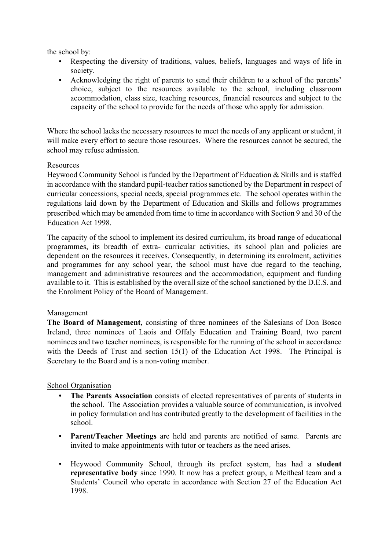the school by:

- Respecting the diversity of traditions, values, beliefs, languages and ways of life in society.
- Acknowledging the right of parents to send their children to a school of the parents' choice, subject to the resources available to the school, including classroom accommodation, class size, teaching resources, financial resources and subject to the capacity of the school to provide for the needs of those who apply for admission.

Where the school lacks the necessary resources to meet the needs of any applicant or student, it will make every effort to secure those resources. Where the resources cannot be secured, the school may refuse admission.

#### Resources

Heywood Community School is funded by the Department of Education & Skills and is staffed in accordance with the standard pupil-teacher ratios sanctioned by the Department in respect of curricular concessions, special needs, special programmes etc. The school operates within the regulations laid down by the Department of Education and Skills and follows programmes prescribed which may be amended from time to time in accordance with Section 9 and 30 of the Education Act 1998.

The capacity of the school to implement its desired curriculum, its broad range of educational programmes, its breadth of extra- curricular activities, its school plan and policies are dependent on the resources it receives. Consequently, in determining its enrolment, activities and programmes for any school year, the school must have due regard to the teaching, management and administrative resources and the accommodation, equipment and funding available to it. This is established by the overall size of the school sanctioned by the D.E.S. and the Enrolment Policy of the Board of Management.

#### Management

**The Board of Management,** consisting of three nominees of the Salesians of Don Bosco Ireland, three nominees of Laois and Offaly Education and Training Board, two parent nominees and two teacher nominees, is responsible for the running of the school in accordance with the Deeds of Trust and section 15(1) of the Education Act 1998. The Principal is Secretary to the Board and is a non-voting member.

#### School Organisation

- **The Parents Association** consists of elected representatives of parents of students in the school. The Association provides a valuable source of communication, is involved in policy formulation and has contributed greatly to the development of facilities in the school.
- **Parent/Teacher Meetings** are held and parents are notified of same. Parents are invited to make appointments with tutor or teachers as the need arises.
- Heywood Community School, through its prefect system, has had a **student representative body** since 1990. It now has a prefect group, a Meitheal team and a Students' Council who operate in accordance with Section 27 of the Education Act 1998.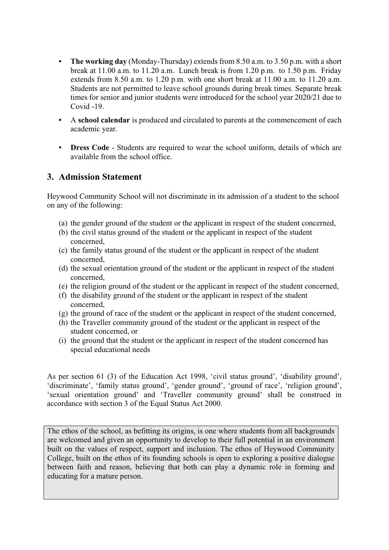- **The working day** (Monday-Thursday) extends from 8.50 a.m. to 3.50 p.m. with a short break at 11.00 a.m. to 11.20 a.m. Lunch break is from 1.20 p.m. to 1.50 p.m. Friday extends from 8.50 a.m. to 1.20 p.m. with one short break at 11.00 a.m. to 11.20 a.m. Students are not permitted to leave school grounds during break times. Separate break times for senior and junior students were introduced for the school year 2020/21 due to Covid -19.
- A **school calendar** is produced and circulated to parents at the commencement of each academic year.
- **Dress Code** Students are required to wear the school uniform, details of which are available from the school office.

### **3. Admission Statement**

Heywood Community School will not discriminate in its admission of a student to the school on any of the following:

- (a) the gender ground of the student or the applicant in respect of the student concerned,
- (b) the civil status ground of the student or the applicant in respect of the student concerned,
- (c) the family status ground of the student or the applicant in respect of the student concerned,
- (d) the sexual orientation ground of the student or the applicant in respect of the student concerned,
- (e) the religion ground of the student or the applicant in respect of the student concerned,
- (f) the disability ground of the student or the applicant in respect of the student concerned,
- (g) the ground of race of the student or the applicant in respect of the student concerned,
- (h) the Traveller community ground of the student or the applicant in respect of the student concerned, or
- (i) the ground that the student or the applicant in respect of the student concerned has special educational needs

As per section 61 (3) of the Education Act 1998, 'civil status ground', 'disability ground', 'discriminate', 'family status ground', 'gender ground', 'ground of race', 'religion ground', 'sexual orientation ground' and 'Traveller community ground' shall be construed in accordance with section 3 of the Equal Status Act 2000.

The ethos of the school, as befitting its origins, is one where students from all backgrounds are welcomed and given an opportunity to develop to their full potential in an environment built on the values of respect, support and inclusion. The ethos of Heywood Community College, built on the ethos of its founding schools is open to exploring a positive dialogue between faith and reason, believing that both can play a dynamic role in forming and educating for a mature person.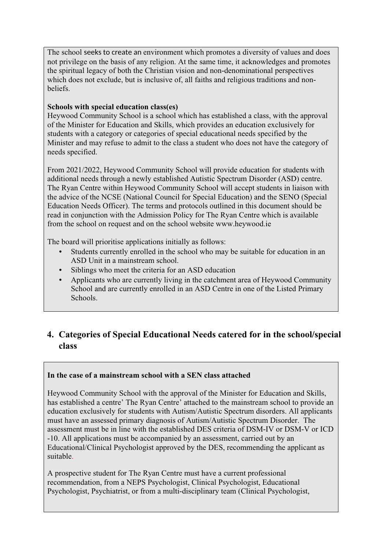The school seeks to create an environment which promotes a diversity of values and does not privilege on the basis of any religion. At the same time, it acknowledges and promotes the spiritual legacy of both the Christian vision and non-denominational perspectives which does not exclude, but is inclusive of, all faiths and religious traditions and nonbeliefs.

### **Schools with special education class(es)**

Heywood Community School is a school which has established a class, with the approval of the Minister for Education and Skills, which provides an education exclusively for students with a category or categories of special educational needs specified by the Minister and may refuse to admit to the class a student who does not have the category of needs specified.

From 2021/2022, Heywood Community School will provide education for students with additional needs through a newly established Autistic Spectrum Disorder (ASD) centre. The Ryan Centre within Heywood Community School will accept students in liaison with the advice of the NCSE (National Council for Special Education) and the SENO (Special Education Needs Officer). The terms and protocols outlined in this document should be read in conjunction with the Admission Policy for The Ryan Centre which is available from the school on request and on the school website www.heywood.ie

The board will prioritise applications initially as follows:

- Students currently enrolled in the school who may be suitable for education in an ASD Unit in a mainstream school.
- Siblings who meet the criteria for an ASD education
- Applicants who are currently living in the catchment area of Heywood Community School and are currently enrolled in an ASD Centre in one of the Listed Primary Schools.

# **4. Categories of Special Educational Needs catered for in the school/special class**

### **In the case of a mainstream school with a SEN class attached**

Heywood Community School with the approval of the Minister for Education and Skills, has established a centre' The Ryan Centre' attached to the mainstream school to provide an education exclusively for students with Autism/Autistic Spectrum disorders. All applicants must have an assessed primary diagnosis of Autism/Autistic Spectrum Disorder. The assessment must be in line with the established DES criteria of DSM-IV or DSM-V or ICD -10. All applications must be accompanied by an assessment, carried out by an Educational/Clinical Psychologist approved by the DES, recommending the applicant as suitable.

A prospective student for The Ryan Centre must have a current professional recommendation, from a NEPS Psychologist, Clinical Psychologist, Educational Psychologist, Psychiatrist, or from a multi-disciplinary team (Clinical Psychologist,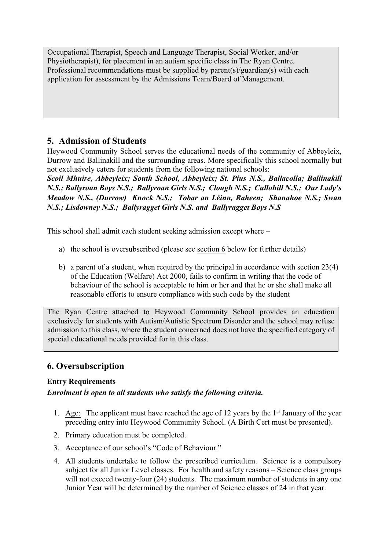Occupational Therapist, Speech and Language Therapist, Social Worker, and/or Physiotherapist), for placement in an autism specific class in The Ryan Centre. Professional recommendations must be supplied by parent(s)/guardian(s) with each application for assessment by the Admissions Team/Board of Management.

## **5. Admission of Students**

Heywood Community School serves the educational needs of the community of Abbeyleix, Durrow and Ballinakill and the surrounding areas. More specifically this school normally but not exclusively caters for students from the following national schools:

*Scoil Mhuire, Abbeyleix; South School, Abbeyleix; St. Pius N.S., Ballacolla; Ballinakill N.S.; Ballyroan Boys N.S.; Ballyroan Girls N.S.; Clough N.S.; Cullohill N.S.; Our Lady's Meadow N.S., (Durrow) Knock N.S.; Tobar an Léinn, Raheen; Shanahoe N.S.; Swan N.S.; Lisdowney N.S.; Ballyragget Girls N.S. and Ballyragget Boys N.S*

This school shall admit each student seeking admission except where –

- a) the school is oversubscribed (please see [section 6](file:///C:\Users\Mary\Downloads\Amended%20Admissions%20Policy%20(%20June).docx) below for further details)
- b) a parent of a student, when required by the principal in accordance with section 23(4) of the Education (Welfare) Act 2000, fails to confirm in writing that the code of behaviour of the school is acceptable to him or her and that he or she shall make all reasonable efforts to ensure compliance with such code by the student

The Ryan Centre attached to Heywood Community School provides an education exclusively for students with Autism/Autistic Spectrum Disorder and the school may refuse admission to this class, where the student concerned does not have the specified category of special educational needs provided for in this class.

# **6. Oversubscription**

### **Entry Requirements**

### *Enrolment is open to all students who satisfy the following criteria.*

- 1. Age: The applicant must have reached the age of 12 years by the 1st January of the year preceding entry into Heywood Community School. (A Birth Cert must be presented).
- 2. Primary education must be completed.
- 3. Acceptance of our school's "Code of Behaviour."
- 4. All students undertake to follow the prescribed curriculum. Science is a compulsory subject for all Junior Level classes. For health and safety reasons – Science class groups will not exceed twenty-four (24) students. The maximum number of students in any one Junior Year will be determined by the number of Science classes of 24 in that year.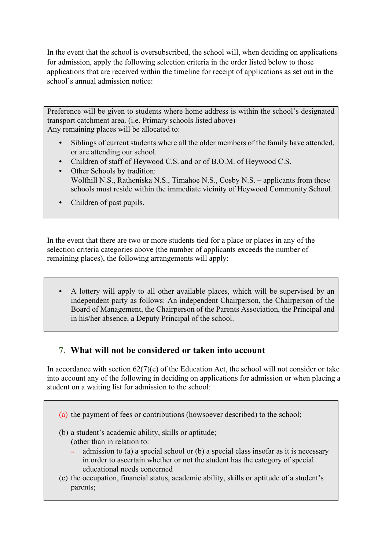In the event that the school is oversubscribed, the school will, when deciding on applications for admission, apply the following selection criteria in the order listed below to those applications that are received within the timeline for receipt of applications as set out in the school's annual admission notice:

Preference will be given to students where home address is within the school's designated transport catchment area. (i.e. Primary schools listed above) Any remaining places will be allocated to:

- Siblings of current students where all the older members of the family have attended, or are attending our school.
- Children of staff of Heywood C.S. and or of B.O.M. of Heywood C.S.
- Other Schools by tradition: Wolfhill N.S., Ratheniska N.S., Timahoe N.S., Cosby N.S. – applicants from these schools must reside within the immediate vicinity of Heywood Community School.
- Children of past pupils.

In the event that there are two or more students tied for a place or places in any of the selection criteria categories above (the number of applicants exceeds the number of remaining places), the following arrangements will apply:

 A lottery will apply to all other available places, which will be supervised by an independent party as follows: An independent Chairperson, the Chairperson of the Board of Management, the Chairperson of the Parents Association, the Principal and in his/her absence, a Deputy Principal of the school.

## **7. What will not be considered or taken into account**

In accordance with section  $62(7)(e)$  of the Education Act, the school will not consider or take into account any of the following in deciding on applications for admission or when placing a student on a waiting list for admission to the school:

- (a) the payment of fees or contributions (howsoever described) to the school;
- (b) a student's academic ability, skills or aptitude;
	- (other than in relation to:
		- admission to (a) a special school or (b) a special class insofar as it is necessary in order to ascertain whether or not the student has the category of special educational needs concerned
- (c) the occupation, financial status, academic ability, skills or aptitude of a student's parents;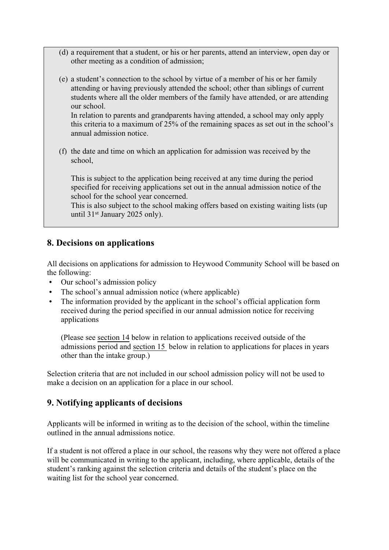- (d) a requirement that a student, or his or her parents, attend an interview, open day or other meeting as a condition of admission;
- (e) a student's connection to the school by virtue of a member of his or her family attending or having previously attended the school; other than siblings of current students where all the older members of the family have attended, or are attending our school.

In relation to parents and grandparents having attended, a school may only apply this criteria to a maximum of 25% of the remaining spaces as set out in the school's annual admission notice.

(f) the date and time on which an application for admission was received by the school,

This is subject to the application being received at any time during the period specified for receiving applications set out in the annual admission notice of the school for the school year concerned.

This is also subject to the school making offers based on existing waiting lists (up until 31st January 2025 only).

### **8. Decisions on applications**

All decisions on applications for admission to Heywood Community School will be based on the following:

- Our school's admission policy
- The school's annual admission notice (where applicable)
- The information provided by the applicant in the school's official application form received during the period specified in our annual admission notice for receiving applications

(Please see [section 14](file:///C:\Users\Mary\Downloads\Amended%20Admissions%20Policy%20(%20June).docx) below in relation to applications received outside of the admissions period and [section 15](file:///C:\Users\Mary\Downloads\Amended%20Admissions%20Policy%20(%20June).docx) below in relation to applications for places in years other than the intake group.)

Selection criteria that are not included in our school admission policy will not be used to make a decision on an application for a place in our school.

## **9. Notifying applicants of decisions**

Applicants will be informed in writing as to the decision of the school, within the timeline outlined in the annual admissions notice.

If a student is not offered a place in our school, the reasons why they were not offered a place will be communicated in writing to the applicant, including, where applicable, details of the student's ranking against the selection criteria and details of the student's place on the waiting list for the school year concerned.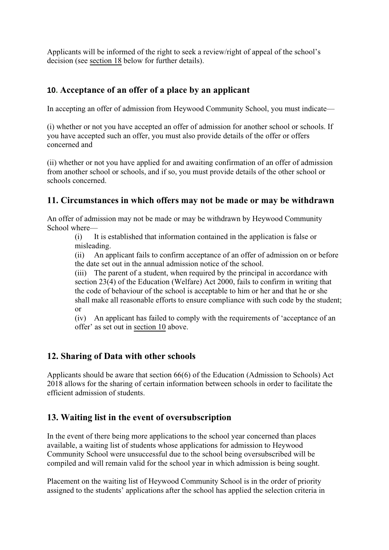Applicants will be informed of the right to seek a review/right of appeal of the school's decision (see [section 18](file:///C:\Users\Mary\Downloads\Amended%20Admissions%20Policy%20(%20June).docx) below for further details).

## **10. Acceptance of an offer of a place by an applicant**

In accepting an offer of admission from Heywood Community School, you must indicate—

(i) whether or not you have accepted an offer of admission for another school or schools. If you have accepted such an offer, you must also provide details of the offer or offers concerned and

(ii) whether or not you have applied for and awaiting confirmation of an offer of admission from another school or schools, and if so, you must provide details of the other school or schools concerned.

## **11. Circumstances in which offers may not be made or may be withdrawn**

An offer of admission may not be made or may be withdrawn by Heywood Community School where—

(i) It is established that information contained in the application is false or misleading.

(ii) An applicant fails to confirm acceptance of an offer of admission on or before the date set out in the annual admission notice of the school.

(iii) The parent of a student, when required by the principal in accordance with section 23(4) of the Education (Welfare) Act 2000, fails to confirm in writing that the code of behaviour of the school is acceptable to him or her and that he or she shall make all reasonable efforts to ensure compliance with such code by the student; or

(iv) An applicant has failed to comply with the requirements of 'acceptance of an offer' as set out in [section 10](file:///C:\Users\Mary\Downloads\Amended%20Admissions%20Policy%20(%20June).docx) above.

### **12. Sharing of Data with other schools**

Applicants should be aware that section 66(6) of the Education (Admission to Schools) Act 2018 allows for the sharing of certain information between schools in order to facilitate the efficient admission of students.

## **13. Waiting list in the event of oversubscription**

In the event of there being more applications to the school year concerned than places available, a waiting list of students whose applications for admission to Heywood Community School were unsuccessful due to the school being oversubscribed will be compiled and will remain valid for the school year in which admission is being sought.

Placement on the waiting list of Heywood Community School is in the order of priority assigned to the students' applications after the school has applied the selection criteria in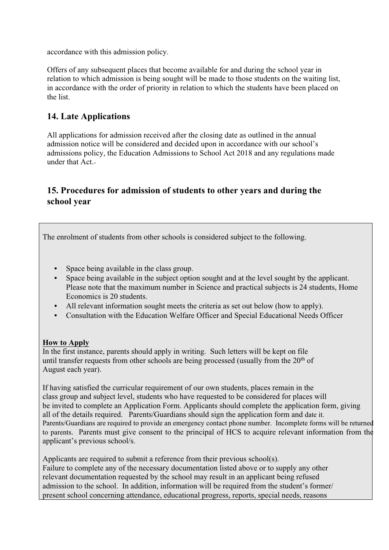accordance with this admission policy.

Offers of any subsequent places that become available for and during the school year in relation to which admission is being sought will be made to those students on the waiting list, in accordance with the order of priority in relation to which the students have been placed on the list.

## **14. Late Applications**

All applications for admission received after the closing date as outlined in the annual admission notice will be considered and decided upon in accordance with our school's admissions policy, the Education Admissions to School Act 2018 and any regulations made under that Act.

# **15. Procedures for admission of students to other years and during the school year**

The enrolment of students from other schools is considered subject to the following.

- Space being available in the class group.
- Space being available in the subject option sought and at the level sought by the applicant. Please note that the maximum number in Science and practical subjects is 24 students, Home Economics is 20 students.
- All relevant information sought meets the criteria as set out below (how to apply).
- Consultation with the Education Welfare Officer and Special Educational Needs Officer

### **How to Apply**

In the first instance, parents should apply in writing. Such letters will be kept on file until transfer requests from other schools are being processed (usually from the  $20<sup>th</sup>$  of August each year).

If having satisfied the curricular requirement of our own students, places remain in the class group and subject level, students who have requested to be considered for places will be invited to complete an Application Form. Applicants should complete the application form, giving all of the details required. Parents/Guardians should sign the application form and date it. Parents/Guardians are required to provide an emergency contact phone number. Incomplete forms will be returned to parents. Parents must give consent to the principal of HCS to acquire relevant information from the applicant's previous school/s.

Applicants are required to submit a reference from their previous school(s). Failure to complete any of the necessary documentation listed above or to supply any other relevant documentation requested by the school may result in an applicant being refused admission to the school. In addition, information will be required from the student's former/ present school concerning attendance, educational progress, reports, special needs, reasons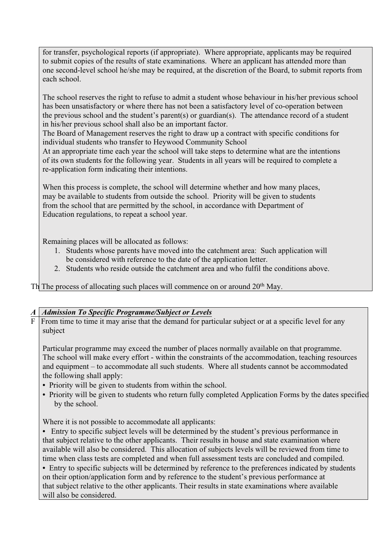for transfer, psychological reports (if appropriate). Where appropriate, applicants may be required to submit copies of the results of state examinations. Where an applicant has attended more than one second-level school he/she may be required, at the discretion of the Board, to submit reports from each school.

The school reserves the right to refuse to admit a student whose behaviour in his/her previous school has been unsatisfactory or where there has not been a satisfactory level of co-operation between the previous school and the student's parent(s) or guardian(s). The attendance record of a student in his/her previous school shall also be an important factor.

The Board of Management reserves the right to draw up a contract with specific conditions for individual students who transfer to Heywood Community School

At an appropriate time each year the school will take steps to determine what are the intentions of its own students for the following year. Students in all years will be required to complete a re-application form indicating their intentions.

When this process is complete, the school will determine whether and how many places, may be available to students from outside the school. Priority will be given to students from the school that are permitted by the school, in accordance with Department of Education regulations, to repeat a school year.

Remaining places will be allocated as follows:

- 1. Students whose parents have moved into the catchment area: Such application will be considered with reference to the date of the application letter.
- 2. Students who reside outside the catchment area and who fulfil the conditions above.

Th The process of allocating such places will commence on or around 20<sup>th</sup> May.

#### *A Admission To Specific Programme/Subject or Levels*

F From time to time it may arise that the demand for particular subject or at a specific level for any subject

Particular programme may exceed the number of places normally available on that programme. The school will make every effort - within the constraints of the accommodation, teaching resources and equipment – to accommodate all such students. Where all students cannot be accommodated the following shall apply:

- Priority will be given to students from within the school.
- Priority will be given to students who return fully completed Application Forms by the dates specified by the school.

Where it is not possible to accommodate all applicants:

 Entry to specific subject levels will be determined by the student's previous performance in that subject relative to the other applicants. Their results in house and state examination where available will also be considered. This allocation of subjects levels will be reviewed from time to time when class tests are completed and when full assessment tests are concluded and compiled.

 Entry to specific subjects will be determined by reference to the preferences indicated by students on their option/application form and by reference to the student's previous performance at that subject relative to the other applicants. Their results in state examinations where available will also be considered.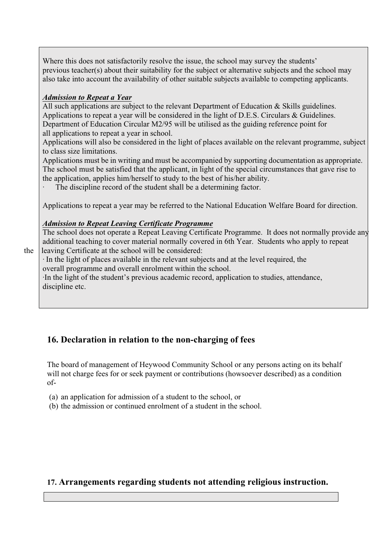Where this does not satisfactorily resolve the issue, the school may survey the students' previous teacher(s) about their suitability for the subject or alternative subjects and the school may also take into account the availability of other suitable subjects available to competing applicants.

#### *Admission to Repeat a Year*

All such applications are subject to the relevant Department of Education & Skills guidelines. Applications to repeat a year will be considered in the light of D.E.S. Circulars & Guidelines. Department of Education Circular M2/95 will be utilised as the guiding reference point for all applications to repeat a year in school.

Applications will also be considered in the light of places available on the relevant programme, subject to class size limitations.

Applications must be in writing and must be accompanied by supporting documentation as appropriate. The school must be satisfied that the applicant, in light of the special circumstances that gave rise to the application, applies him/herself to study to the best of his/her ability.

The discipline record of the student shall be a determining factor.

Applications to repeat a year may be referred to the National Education Welfare Board for direction.

#### *Admission to Repeat Leaving Certificate Programme*

The school does not operate a Repeat Leaving Certificate Programme. It does not normally provide any additional teaching to cover material normally covered in 6th Year. Students who apply to repeat the leaving Certificate at the school will be considered:

· In the light of places available in the relevant subjects and at the level required, the overall programme and overall enrolment within the school.

·In the light of the student's previous academic record, application to studies, attendance, discipline etc.

# **16. Declaration in relation to the non-charging of fees**

The board of management of Heywood Community School or any persons acting on its behalf will not charge fees for or seek payment or contributions (howsoever described) as a condition of-

(a) an application for admission of a student to the school, or

(b) the admission or continued enrolment of a student in the school.

### **17. Arrangements regarding students not attending religious instruction.**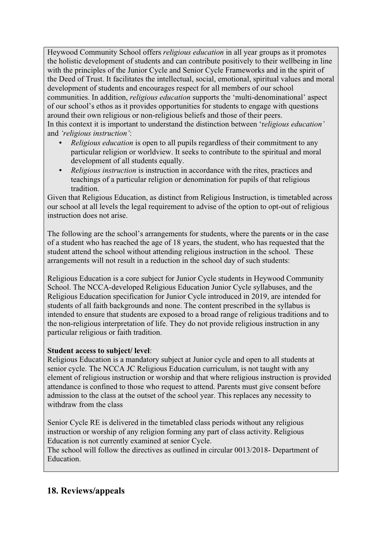Heywood Community School offers *religious education* in all year groups as it promotes the holistic development of students and can contribute positively to their wellbeing in line with the principles of the Junior Cycle and Senior Cycle Frameworks and in the spirit of the Deed of Trust. It facilitates the intellectual, social, emotional, spiritual values and moral development of students and encourages respect for all members of our school communities. In addition, *religious education* supports the 'multi-denominational' aspect of our school's ethos as it provides opportunities for students to engage with questions around their own religious or non-religious beliefs and those of their peers. In this context it is important to understand the distinction between 'r*eligious education'* and *'religious instruction'*:

- *Religious education* is open to all pupils regardless of their commitment to any particular religion or worldview. It seeks to contribute to the spiritual and moral development of all students equally.
- *Religious instruction* is instruction in accordance with the rites, practices and teachings of a particular religion or denomination for pupils of that religious tradition.

Given that Religious Education, as distinct from Religious Instruction, is timetabled across our school at all levels the legal requirement to advise of the option to opt-out of religious instruction does not arise.

The following are the school's arrangements for students, where the parents or in the case of a student who has reached the age of 18 years, the student, who has requested that the student attend the school without attending religious instruction in the school. These arrangements will not result in a reduction in the school day of such students:

Religious Education is a core subject for Junior Cycle students in Heywood Community School. The NCCA-developed Religious Education Junior Cycle syllabuses, and the Religious Education specification for Junior Cycle introduced in 2019, are intended for students of all faith backgrounds and none. The content prescribed in the syllabus is intended to ensure that students are exposed to a broad range of religious traditions and to the non-religious interpretation of life. They do not provide religious instruction in any particular religious or faith tradition.

#### **Student access to subject/ level**:

Religious Education is a mandatory subject at Junior cycle and open to all students at senior cycle. The NCCA JC Religious Education curriculum, is not taught with any element of religious instruction or worship and that where religious instruction is provided attendance is confined to those who request to attend. Parents must give consent before admission to the class at the outset of the school year. This replaces any necessity to withdraw from the class

Senior Cycle RE is delivered in the timetabled class periods without any religious instruction or worship of any religion forming any part of class activity. Religious Education is not currently examined at senior Cycle.

The school will follow the directives as outlined in circular 0013/2018- Department of Education.

## **18. Reviews/appeals**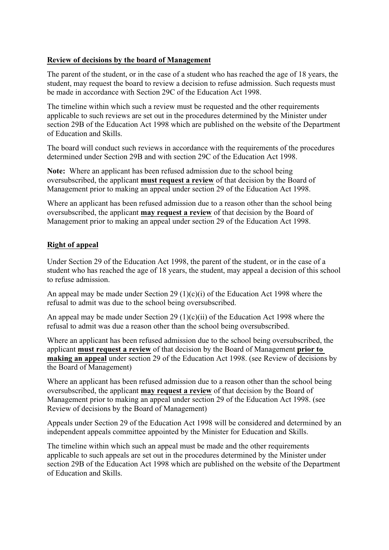#### **Review of decisions by the board of Management**

The parent of the student, or in the case of a student who has reached the age of 18 years, the student, may request the board to review a decision to refuse admission. Such requests must be made in accordance with Section 29C of the Education Act 1998.

The timeline within which such a review must be requested and the other requirements applicable to such reviews are set out in the procedures determined by the Minister under section 29B of the Education Act 1998 which are published on the website of the Department of Education and Skills.

The board will conduct such reviews in accordance with the requirements of the procedures determined under Section 29B and with section 29C of the Education Act 1998.

**Note:** Where an applicant has been refused admission due to the school being oversubscribed, the applicant **must request a review** of that decision by the Board of Management prior to making an appeal under section 29 of the Education Act 1998.

Where an applicant has been refused admission due to a reason other than the school being oversubscribed, the applicant **may request a review** of that decision by the Board of Management prior to making an appeal under section 29 of the Education Act 1998.

#### **Right of appeal**

Under Section 29 of the Education Act 1998, the parent of the student, or in the case of a student who has reached the age of 18 years, the student, may appeal a decision of this school to refuse admission.

An appeal may be made under Section 29 (1)(c)(i) of the Education Act 1998 where the refusal to admit was due to the school being oversubscribed.

An appeal may be made under Section 29 (1)(c)(ii) of the Education Act 1998 where the refusal to admit was due a reason other than the school being oversubscribed.

Where an applicant has been refused admission due to the school being oversubscribed, the applicant **must request a review** of that decision by the Board of Management **prior to making an appeal** under section 29 of the Education Act 1998. (see Review of decisions by the Board of Management)

Where an applicant has been refused admission due to a reason other than the school being oversubscribed, the applicant **may request a review** of that decision by the Board of Management prior to making an appeal under section 29 of the Education Act 1998. (see Review of decisions by the Board of Management)

Appeals under Section 29 of the Education Act 1998 will be considered and determined by an independent appeals committee appointed by the Minister for Education and Skills.

The timeline within which such an appeal must be made and the other requirements applicable to such appeals are set out in the procedures determined by the Minister under section 29B of the Education Act 1998 which are published on the website of the Department of Education and Skills.